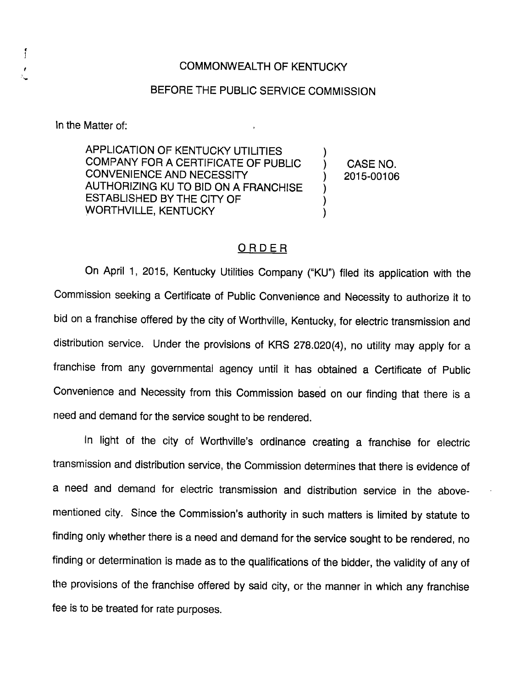## COMMONWEALTH OF KENTUCKY

## BEFORE THE PUBLIC SERVICE COMMISSION

In the Matter of:

ſ

APPLICATION OF KENTUCKY UTILITIES COMPANY FOR A CERTIFICATE OF PUBLIC CONVENIENCE AND NECESSITY AUTHORIZING KU TO BID ON A FRANCHISE ESTABLISHED BY THE CITY OF WORTHVILLE, KENTUCKY

CASE NO. 2015-00106

 $\lambda$  $\mathcal{Y}$  $\mathcal{C}$ )  $\lambda$ 

## ORDER

On April 1, 2015, Kentucky Utilities Company ("KU") filed its application with the Commission seeking a Certificate of Public Convenience and Necessity to authorize it to bid on a franchise offered by the city of Worthville, Kentucky, for electric transmission and distribution service. Under the provisions of KRS 278.020(4), no utility may apply for a franchise from any governmental agency until it has obtained a Certificate of Public Convenience and Necessity from this Commission based on our finding that there is a need and demand for the service sought to be rendered.

In light of the city of Worthville's ordinance creating a franchise for electric transmission and distribution service, the Commission determines that there is evidence of a need and demand for electric transmission and distribution service in the abovementioned city. Since the Commission's authority in such matters is limited by statute to finding only whether there is a need and demand for the service sought to be rendered, no finding or determination is made as to the qualifications of the bidder, the validity of any of the provisions of the franchise offered by said city, or the manner in which any franchise fee is to be treated for rate purposes.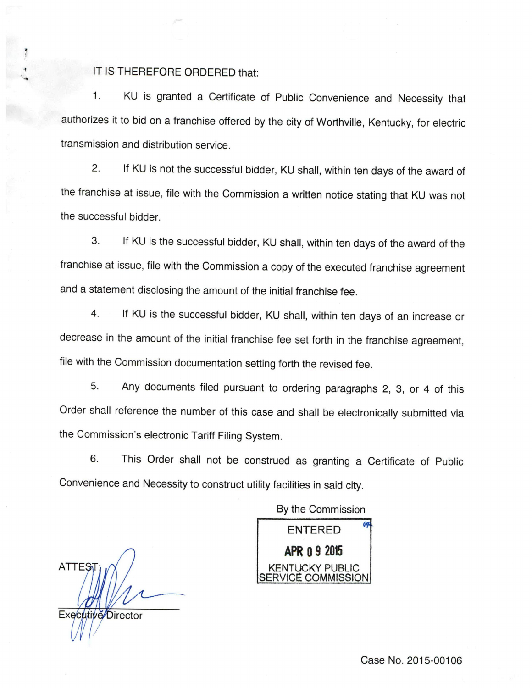## IT IS THEREFORE ORDERED that:

1. KU is granted a Certificate of Public Convenience and Necessity that authorizes it to bid on a franchise offered by the city of Worthville, Kentucky, for electric transmission and distribution service.

2. If KU is not the successful bidder, KU shall, within ten days of the award of the franchise at issue, file with the Commission a written notice stating that KU was not the successful bidder.

3. If KU is the successful bidder, KU shall, within ten days of the award of the franchise at issue, file with the Commission a copy of the executed franchise agreement and a statement disclosing the amount of the initial franchise fee.

4. If KU is the successful bidder, KU shall, within ten days of an increase or decrease in the amount of the initial franchise fee set forth in the franchise agreement, file with the Commission documentation setting forth the revised fee.

5. Any documents filed pursuant to ordering paragraphs 2, 3, or 4 of this Order shall reference the number of this case and shall be electronically submitted via the Commission's electronic Tariff Filing System.

6. This Order shall not be construed as granting a Certificate of Public Convenience and Necessity to construct utility facilities in said city.

By the Commission

**ATTES** Executive Director

ENTERED APR 0 9 2015 91 **JCKY PUBL** /ICE COMMISSION

Case No. 2015-00106